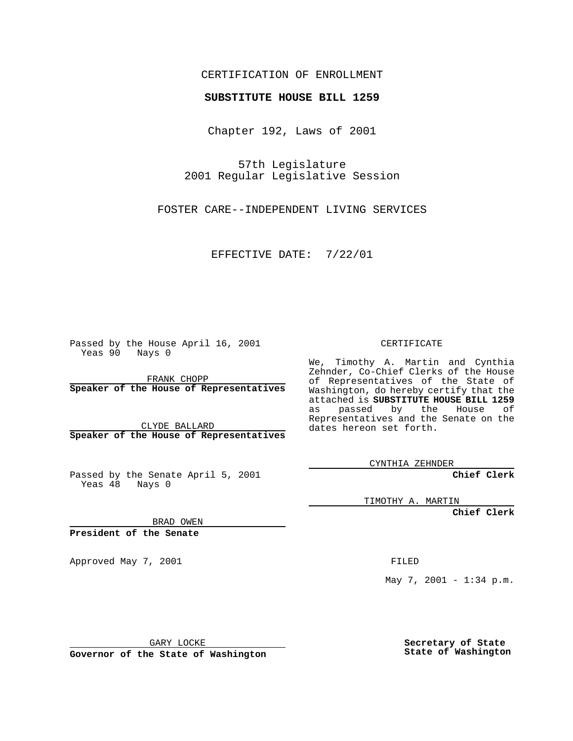### CERTIFICATION OF ENROLLMENT

# **SUBSTITUTE HOUSE BILL 1259**

Chapter 192, Laws of 2001

57th Legislature 2001 Regular Legislative Session

FOSTER CARE--INDEPENDENT LIVING SERVICES

EFFECTIVE DATE: 7/22/01

Passed by the House April 16, 2001 Yeas 90 Nays 0

FRANK CHOPP **Speaker of the House of Representatives**

CLYDE BALLARD **Speaker of the House of Representatives**

Passed by the Senate April 5, 2001 Yeas 48 Nays 0

CERTIFICATE

We, Timothy A. Martin and Cynthia Zehnder, Co-Chief Clerks of the House of Representatives of the State of Washington, do hereby certify that the attached is **SUBSTITUTE HOUSE BILL 1259** as passed by the House of Representatives and the Senate on the dates hereon set forth.

CYNTHIA ZEHNDER

**Chief Clerk**

TIMOTHY A. MARTIN

**Chief Clerk**

BRAD OWEN

**President of the Senate**

Approved May 7, 2001 FILED

May 7, 2001 - 1:34 p.m.

GARY LOCKE

**Governor of the State of Washington**

**Secretary of State State of Washington**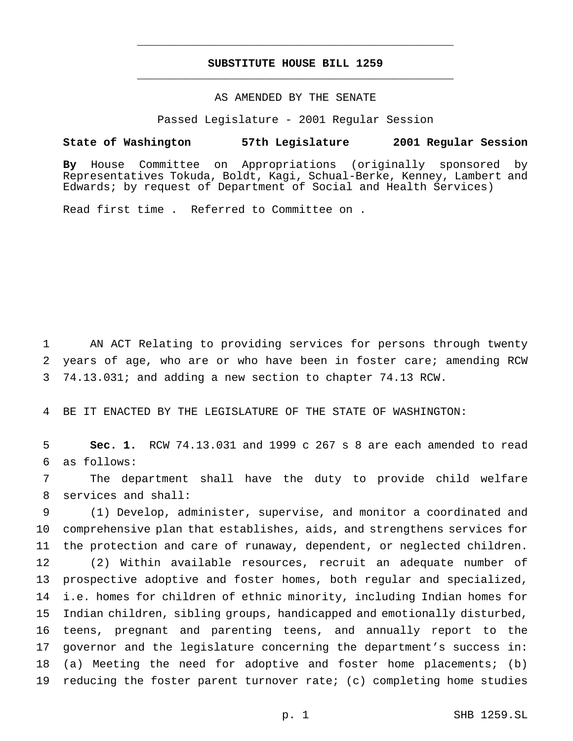## **SUBSTITUTE HOUSE BILL 1259** \_\_\_\_\_\_\_\_\_\_\_\_\_\_\_\_\_\_\_\_\_\_\_\_\_\_\_\_\_\_\_\_\_\_\_\_\_\_\_\_\_\_\_\_\_\_\_

\_\_\_\_\_\_\_\_\_\_\_\_\_\_\_\_\_\_\_\_\_\_\_\_\_\_\_\_\_\_\_\_\_\_\_\_\_\_\_\_\_\_\_\_\_\_\_

#### AS AMENDED BY THE SENATE

Passed Legislature - 2001 Regular Session

#### **State of Washington 57th Legislature 2001 Regular Session**

**By** House Committee on Appropriations (originally sponsored by Representatives Tokuda, Boldt, Kagi, Schual-Berke, Kenney, Lambert and Edwards; by request of Department of Social and Health Services)

Read first time . Referred to Committee on .

 AN ACT Relating to providing services for persons through twenty years of age, who are or who have been in foster care; amending RCW 74.13.031; and adding a new section to chapter 74.13 RCW.

BE IT ENACTED BY THE LEGISLATURE OF THE STATE OF WASHINGTON:

 **Sec. 1.** RCW 74.13.031 and 1999 c 267 s 8 are each amended to read as follows:

 The department shall have the duty to provide child welfare services and shall:

 (1) Develop, administer, supervise, and monitor a coordinated and comprehensive plan that establishes, aids, and strengthens services for the protection and care of runaway, dependent, or neglected children.

 (2) Within available resources, recruit an adequate number of prospective adoptive and foster homes, both regular and specialized, i.e. homes for children of ethnic minority, including Indian homes for Indian children, sibling groups, handicapped and emotionally disturbed, teens, pregnant and parenting teens, and annually report to the governor and the legislature concerning the department's success in: (a) Meeting the need for adoptive and foster home placements; (b) reducing the foster parent turnover rate; (c) completing home studies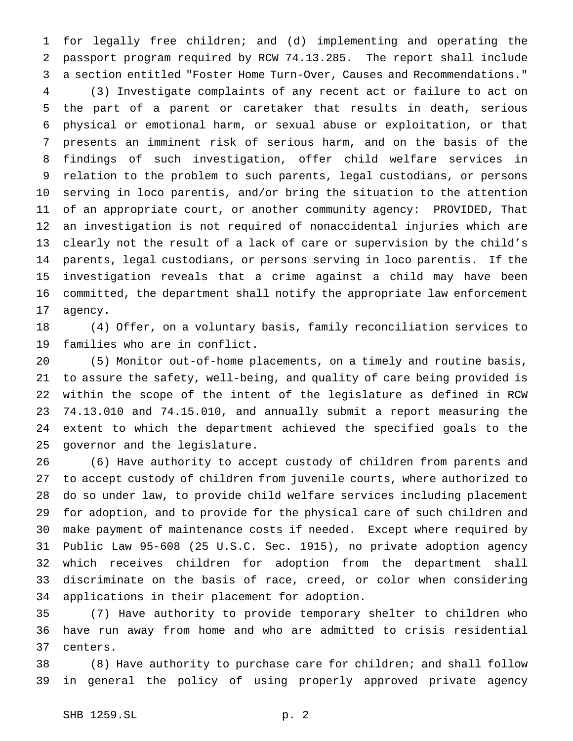for legally free children; and (d) implementing and operating the passport program required by RCW 74.13.285. The report shall include a section entitled "Foster Home Turn-Over, Causes and Recommendations."

 (3) Investigate complaints of any recent act or failure to act on the part of a parent or caretaker that results in death, serious physical or emotional harm, or sexual abuse or exploitation, or that presents an imminent risk of serious harm, and on the basis of the findings of such investigation, offer child welfare services in relation to the problem to such parents, legal custodians, or persons serving in loco parentis, and/or bring the situation to the attention of an appropriate court, or another community agency: PROVIDED, That an investigation is not required of nonaccidental injuries which are clearly not the result of a lack of care or supervision by the child's parents, legal custodians, or persons serving in loco parentis. If the investigation reveals that a crime against a child may have been committed, the department shall notify the appropriate law enforcement agency.

 (4) Offer, on a voluntary basis, family reconciliation services to families who are in conflict.

 (5) Monitor out-of-home placements, on a timely and routine basis, to assure the safety, well-being, and quality of care being provided is within the scope of the intent of the legislature as defined in RCW 74.13.010 and 74.15.010, and annually submit a report measuring the extent to which the department achieved the specified goals to the governor and the legislature.

 (6) Have authority to accept custody of children from parents and to accept custody of children from juvenile courts, where authorized to do so under law, to provide child welfare services including placement for adoption, and to provide for the physical care of such children and make payment of maintenance costs if needed. Except where required by Public Law 95-608 (25 U.S.C. Sec. 1915), no private adoption agency which receives children for adoption from the department shall discriminate on the basis of race, creed, or color when considering applications in their placement for adoption.

 (7) Have authority to provide temporary shelter to children who have run away from home and who are admitted to crisis residential centers.

 (8) Have authority to purchase care for children; and shall follow in general the policy of using properly approved private agency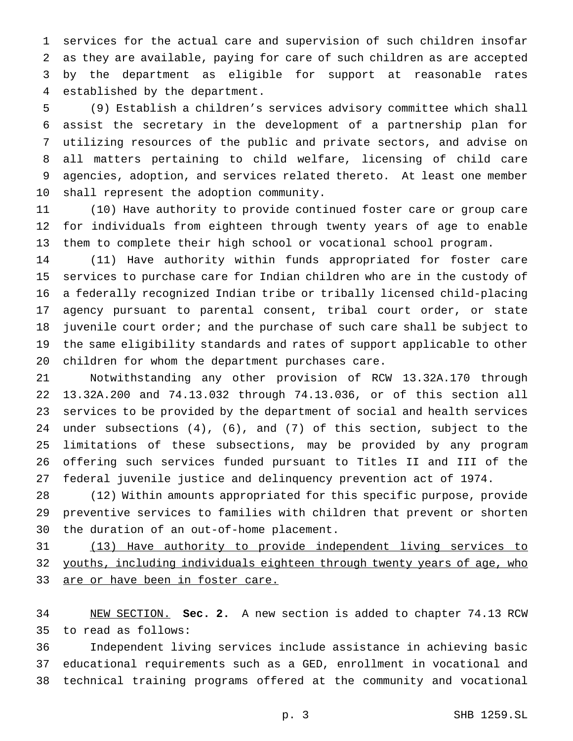services for the actual care and supervision of such children insofar as they are available, paying for care of such children as are accepted by the department as eligible for support at reasonable rates established by the department.

 (9) Establish a children's services advisory committee which shall assist the secretary in the development of a partnership plan for utilizing resources of the public and private sectors, and advise on all matters pertaining to child welfare, licensing of child care agencies, adoption, and services related thereto. At least one member shall represent the adoption community.

 (10) Have authority to provide continued foster care or group care for individuals from eighteen through twenty years of age to enable them to complete their high school or vocational school program.

 (11) Have authority within funds appropriated for foster care services to purchase care for Indian children who are in the custody of a federally recognized Indian tribe or tribally licensed child-placing agency pursuant to parental consent, tribal court order, or state juvenile court order; and the purchase of such care shall be subject to the same eligibility standards and rates of support applicable to other children for whom the department purchases care.

 Notwithstanding any other provision of RCW 13.32A.170 through 13.32A.200 and 74.13.032 through 74.13.036, or of this section all services to be provided by the department of social and health services under subsections (4), (6), and (7) of this section, subject to the limitations of these subsections, may be provided by any program offering such services funded pursuant to Titles II and III of the federal juvenile justice and delinquency prevention act of 1974.

 (12) Within amounts appropriated for this specific purpose, provide preventive services to families with children that prevent or shorten the duration of an out-of-home placement.

 (13) Have authority to provide independent living services to 32 youths, including individuals eighteen through twenty years of age, who 33 are or have been in foster care.

 NEW SECTION. **Sec. 2.** A new section is added to chapter 74.13 RCW to read as follows:

 Independent living services include assistance in achieving basic educational requirements such as a GED, enrollment in vocational and technical training programs offered at the community and vocational